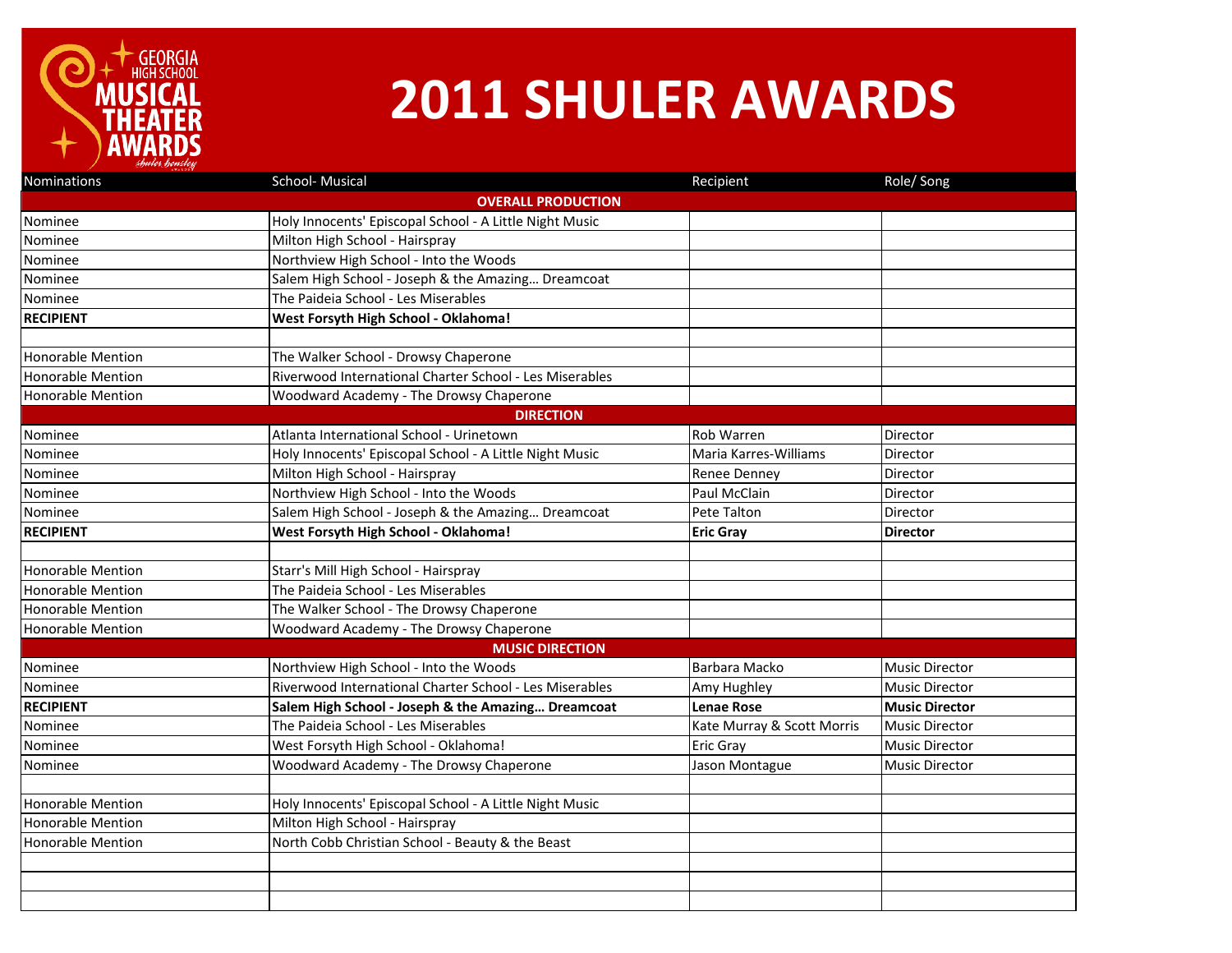

## **2011 SHULER AWARDS**

| Nominations               | School- Musical                                         | Recipient                  | Role/Song             |  |  |  |
|---------------------------|---------------------------------------------------------|----------------------------|-----------------------|--|--|--|
| <b>OVERALL PRODUCTION</b> |                                                         |                            |                       |  |  |  |
| Nominee                   | Holy Innocents' Episcopal School - A Little Night Music |                            |                       |  |  |  |
| Nominee                   | Milton High School - Hairspray                          |                            |                       |  |  |  |
| Nominee                   | Northview High School - Into the Woods                  |                            |                       |  |  |  |
| Nominee                   | Salem High School - Joseph & the Amazing Dreamcoat      |                            |                       |  |  |  |
| Nominee                   | The Paideia School - Les Miserables                     |                            |                       |  |  |  |
| <b>RECIPIENT</b>          | West Forsyth High School - Oklahoma!                    |                            |                       |  |  |  |
|                           |                                                         |                            |                       |  |  |  |
| Honorable Mention         | The Walker School - Drowsy Chaperone                    |                            |                       |  |  |  |
| <b>Honorable Mention</b>  | Riverwood International Charter School - Les Miserables |                            |                       |  |  |  |
| <b>Honorable Mention</b>  | Woodward Academy - The Drowsy Chaperone                 |                            |                       |  |  |  |
|                           | <b>DIRECTION</b>                                        |                            |                       |  |  |  |
| Nominee                   | Atlanta International School - Urinetown                | Rob Warren                 | Director              |  |  |  |
| Nominee                   | Holy Innocents' Episcopal School - A Little Night Music | Maria Karres-Williams      | Director              |  |  |  |
| Nominee                   | Milton High School - Hairspray                          | Renee Denney               | Director              |  |  |  |
| Nominee                   | Northview High School - Into the Woods                  | Paul McClain               | Director              |  |  |  |
| Nominee                   | Salem High School - Joseph & the Amazing Dreamcoat      | Pete Talton                | Director              |  |  |  |
| <b>RECIPIENT</b>          | West Forsyth High School - Oklahoma!                    | <b>Eric Gray</b>           | <b>Director</b>       |  |  |  |
|                           |                                                         |                            |                       |  |  |  |
| <b>Honorable Mention</b>  | Starr's Mill High School - Hairspray                    |                            |                       |  |  |  |
| <b>Honorable Mention</b>  | The Paideia School - Les Miserables                     |                            |                       |  |  |  |
| <b>Honorable Mention</b>  | The Walker School - The Drowsy Chaperone                |                            |                       |  |  |  |
| <b>Honorable Mention</b>  | Woodward Academy - The Drowsy Chaperone                 |                            |                       |  |  |  |
|                           | <b>MUSIC DIRECTION</b>                                  |                            |                       |  |  |  |
| Nominee                   | Northview High School - Into the Woods                  | Barbara Macko              | <b>Music Director</b> |  |  |  |
| Nominee                   | Riverwood International Charter School - Les Miserables | Amy Hughley                | <b>Music Director</b> |  |  |  |
| <b>RECIPIENT</b>          | Salem High School - Joseph & the Amazing Dreamcoat      | <b>Lenae Rose</b>          | <b>Music Director</b> |  |  |  |
| Nominee                   | The Paideia School - Les Miserables                     | Kate Murray & Scott Morris | <b>Music Director</b> |  |  |  |
| Nominee                   | West Forsyth High School - Oklahoma!                    | Eric Gray                  | <b>Music Director</b> |  |  |  |
| Nominee                   | Woodward Academy - The Drowsy Chaperone                 | Jason Montague             | <b>Music Director</b> |  |  |  |
|                           |                                                         |                            |                       |  |  |  |
| <b>Honorable Mention</b>  | Holy Innocents' Episcopal School - A Little Night Music |                            |                       |  |  |  |
| <b>Honorable Mention</b>  | Milton High School - Hairspray                          |                            |                       |  |  |  |
| <b>Honorable Mention</b>  | North Cobb Christian School - Beauty & the Beast        |                            |                       |  |  |  |
|                           |                                                         |                            |                       |  |  |  |
|                           |                                                         |                            |                       |  |  |  |
|                           |                                                         |                            |                       |  |  |  |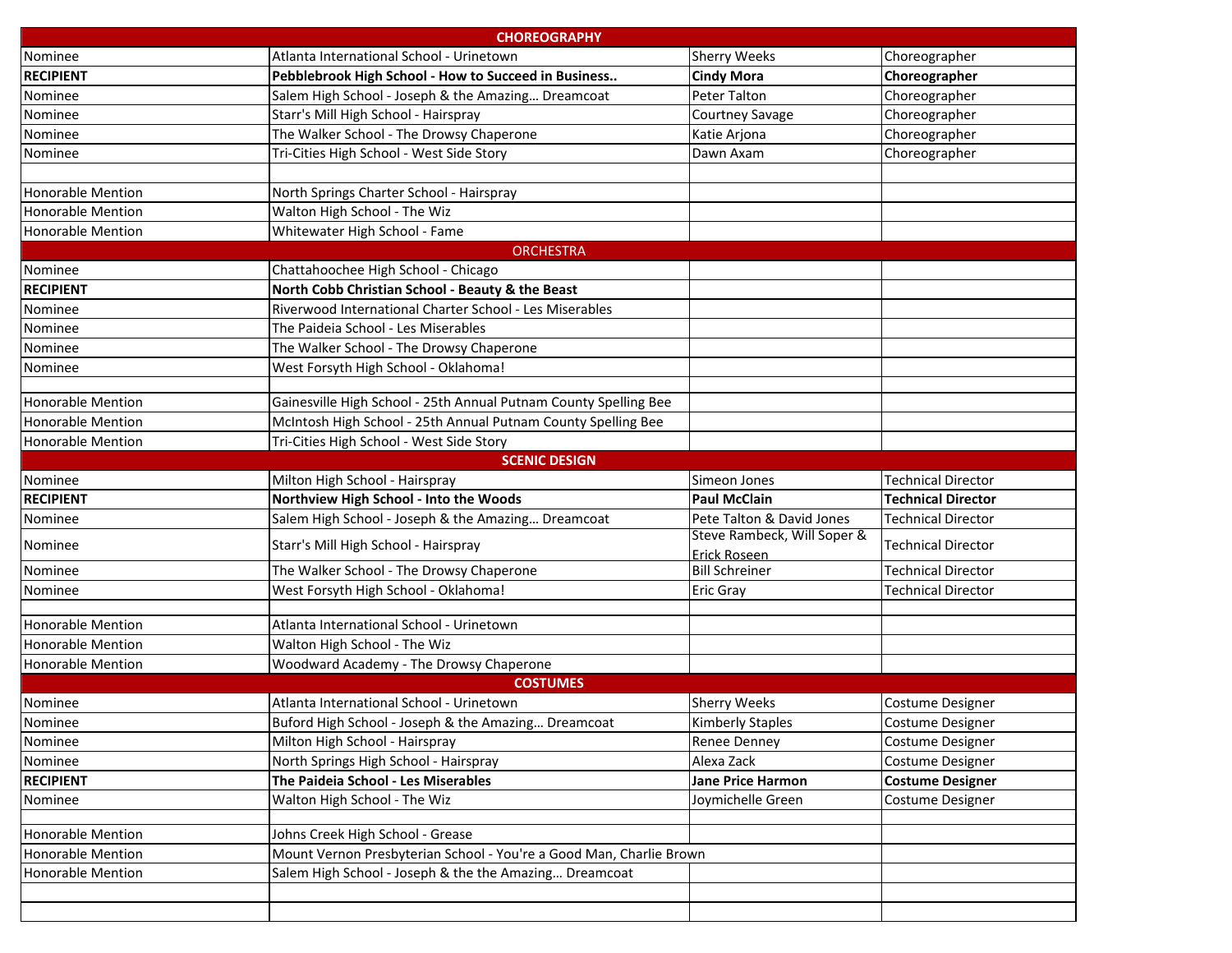| <b>CHOREOGRAPHY</b>      |                                                                     |                                                    |                           |  |  |  |
|--------------------------|---------------------------------------------------------------------|----------------------------------------------------|---------------------------|--|--|--|
| Nominee                  | Atlanta International School - Urinetown                            | <b>Sherry Weeks</b>                                | Choreographer             |  |  |  |
| <b>RECIPIENT</b>         | Pebblebrook High School - How to Succeed in Business                | <b>Cindy Mora</b>                                  | Choreographer             |  |  |  |
| Nominee                  | Salem High School - Joseph & the Amazing Dreamcoat                  | Peter Talton                                       | Choreographer             |  |  |  |
| Nominee                  | Starr's Mill High School - Hairspray                                | Courtney Savage                                    | Choreographer             |  |  |  |
| Nominee                  | The Walker School - The Drowsy Chaperone                            | Katie Arjona                                       | Choreographer             |  |  |  |
| Nominee                  | Tri-Cities High School - West Side Story                            | Dawn Axam                                          | Choreographer             |  |  |  |
|                          |                                                                     |                                                    |                           |  |  |  |
| <b>Honorable Mention</b> | North Springs Charter School - Hairspray                            |                                                    |                           |  |  |  |
| <b>Honorable Mention</b> | Walton High School - The Wiz                                        |                                                    |                           |  |  |  |
| <b>Honorable Mention</b> | Whitewater High School - Fame                                       |                                                    |                           |  |  |  |
|                          | <b>ORCHESTRA</b>                                                    |                                                    |                           |  |  |  |
| Nominee                  | Chattahoochee High School - Chicago                                 |                                                    |                           |  |  |  |
| <b>RECIPIENT</b>         | North Cobb Christian School - Beauty & the Beast                    |                                                    |                           |  |  |  |
| Nominee                  | Riverwood International Charter School - Les Miserables             |                                                    |                           |  |  |  |
| Nominee                  | The Paideia School - Les Miserables                                 |                                                    |                           |  |  |  |
| Nominee                  | The Walker School - The Drowsy Chaperone                            |                                                    |                           |  |  |  |
| Nominee                  | West Forsyth High School - Oklahoma!                                |                                                    |                           |  |  |  |
|                          |                                                                     |                                                    |                           |  |  |  |
| <b>Honorable Mention</b> | Gainesville High School - 25th Annual Putnam County Spelling Bee    |                                                    |                           |  |  |  |
| <b>Honorable Mention</b> | McIntosh High School - 25th Annual Putnam County Spelling Bee       |                                                    |                           |  |  |  |
| <b>Honorable Mention</b> | Tri-Cities High School - West Side Story                            |                                                    |                           |  |  |  |
|                          | <b>SCENIC DESIGN</b>                                                |                                                    |                           |  |  |  |
| Nominee                  | Milton High School - Hairspray                                      | Simeon Jones                                       | <b>Technical Director</b> |  |  |  |
| <b>RECIPIENT</b>         | Northview High School - Into the Woods                              | <b>Paul McClain</b>                                | <b>Technical Director</b> |  |  |  |
| Nominee                  | Salem High School - Joseph & the Amazing Dreamcoat                  | Pete Talton & David Jones                          | <b>Technical Director</b> |  |  |  |
| Nominee                  | Starr's Mill High School - Hairspray                                | Steve Rambeck, Will Soper &<br><b>Erick Roseen</b> | <b>Technical Director</b> |  |  |  |
| Nominee                  | The Walker School - The Drowsy Chaperone                            | <b>Bill Schreiner</b>                              | <b>Technical Director</b> |  |  |  |
| Nominee                  | West Forsyth High School - Oklahoma!                                | <b>Eric Gray</b>                                   | <b>Technical Director</b> |  |  |  |
|                          |                                                                     |                                                    |                           |  |  |  |
| <b>Honorable Mention</b> | Atlanta International School - Urinetown                            |                                                    |                           |  |  |  |
| <b>Honorable Mention</b> | Walton High School - The Wiz                                        |                                                    |                           |  |  |  |
| <b>Honorable Mention</b> | Woodward Academy - The Drowsy Chaperone                             |                                                    |                           |  |  |  |
| <b>COSTUMES</b>          |                                                                     |                                                    |                           |  |  |  |
| Nominee                  | Atlanta International School - Urinetown                            | <b>Sherry Weeks</b>                                | Costume Designer          |  |  |  |
| Nominee                  | Buford High School - Joseph & the Amazing Dreamcoat                 | <b>Kimberly Staples</b>                            | Costume Designer          |  |  |  |
| Nominee                  | Milton High School - Hairspray                                      | <b>Renee Denney</b>                                | <b>Costume Designer</b>   |  |  |  |
| Nominee                  | North Springs High School - Hairspray                               | Alexa Zack                                         | Costume Designer          |  |  |  |
| <b>RECIPIENT</b>         | The Paideia School - Les Miserables                                 | Jane Price Harmon                                  | <b>Costume Designer</b>   |  |  |  |
| Nominee                  | Walton High School - The Wiz                                        | Joymichelle Green                                  | Costume Designer          |  |  |  |
|                          |                                                                     |                                                    |                           |  |  |  |
| <b>Honorable Mention</b> | Johns Creek High School - Grease                                    |                                                    |                           |  |  |  |
| Honorable Mention        | Mount Vernon Presbyterian School - You're a Good Man, Charlie Brown |                                                    |                           |  |  |  |
| <b>Honorable Mention</b> | Salem High School - Joseph & the the Amazing Dreamcoat              |                                                    |                           |  |  |  |
|                          |                                                                     |                                                    |                           |  |  |  |
|                          |                                                                     |                                                    |                           |  |  |  |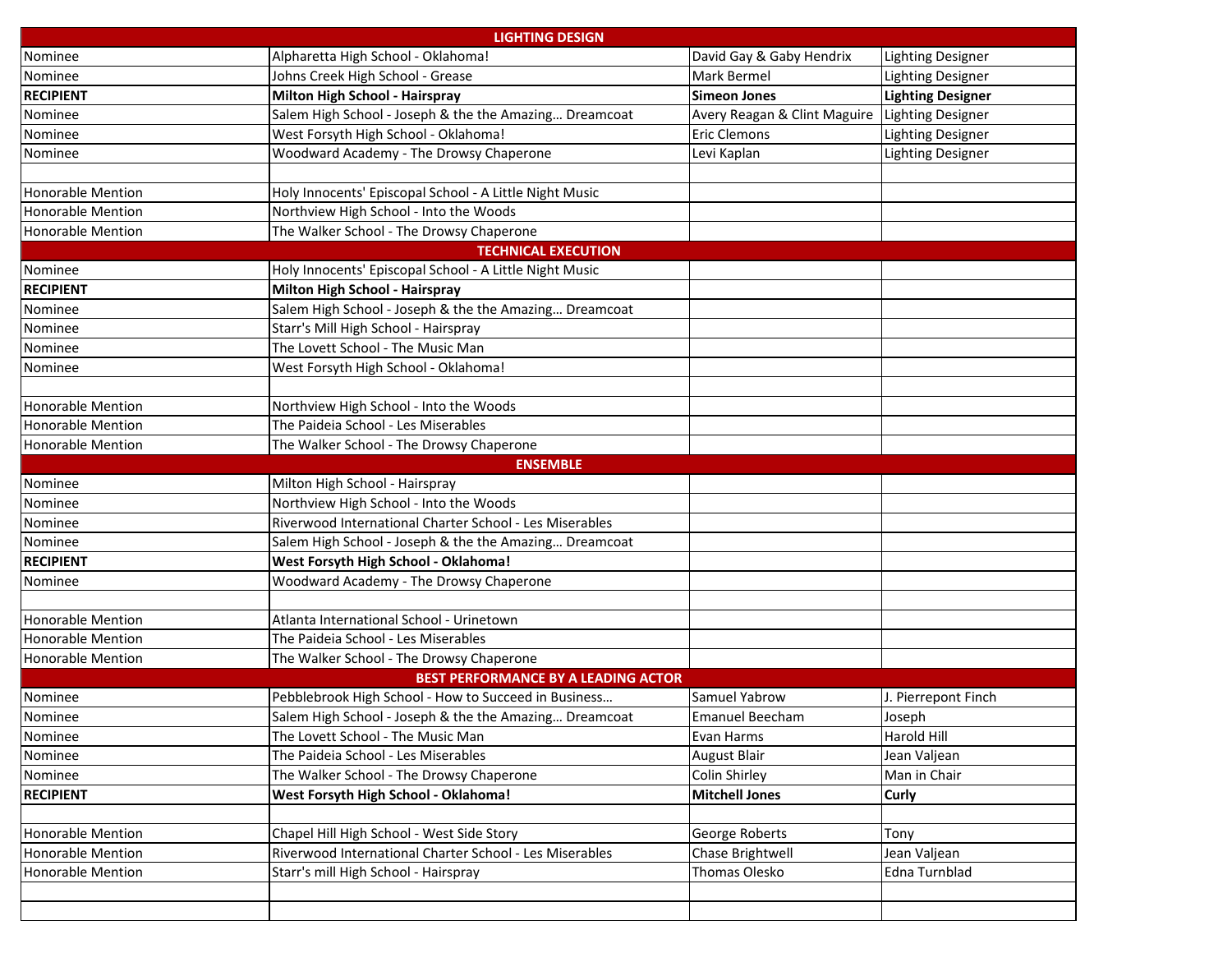|                                            | <b>LIGHTING DESIGN</b>                                  |                              |                          |  |  |  |
|--------------------------------------------|---------------------------------------------------------|------------------------------|--------------------------|--|--|--|
| Nominee                                    | Alpharetta High School - Oklahoma!                      | David Gay & Gaby Hendrix     | Lighting Designer        |  |  |  |
| Nominee                                    | Johns Creek High School - Grease                        | Mark Bermel                  | <b>Lighting Designer</b> |  |  |  |
| <b>RECIPIENT</b>                           | Milton High School - Hairspray                          | <b>Simeon Jones</b>          | <b>Lighting Designer</b> |  |  |  |
| Nominee                                    | Salem High School - Joseph & the the Amazing Dreamcoat  | Avery Reagan & Clint Maguire | Lighting Designer        |  |  |  |
| Nominee                                    | West Forsyth High School - Oklahoma!                    | Eric Clemons                 | <b>Lighting Designer</b> |  |  |  |
| Nominee                                    | Woodward Academy - The Drowsy Chaperone                 | Levi Kaplan                  | Lighting Designer        |  |  |  |
|                                            |                                                         |                              |                          |  |  |  |
| <b>Honorable Mention</b>                   | Holy Innocents' Episcopal School - A Little Night Music |                              |                          |  |  |  |
| <b>Honorable Mention</b>                   | Northview High School - Into the Woods                  |                              |                          |  |  |  |
| Honorable Mention                          | The Walker School - The Drowsy Chaperone                |                              |                          |  |  |  |
|                                            | <b>TECHNICAL EXECUTION</b>                              |                              |                          |  |  |  |
| Nominee                                    | Holy Innocents' Episcopal School - A Little Night Music |                              |                          |  |  |  |
| <b>RECIPIENT</b>                           | Milton High School - Hairspray                          |                              |                          |  |  |  |
| Nominee                                    | Salem High School - Joseph & the the Amazing Dreamcoat  |                              |                          |  |  |  |
| Nominee                                    | Starr's Mill High School - Hairspray                    |                              |                          |  |  |  |
| Nominee                                    | The Lovett School - The Music Man                       |                              |                          |  |  |  |
| Nominee                                    | West Forsyth High School - Oklahoma!                    |                              |                          |  |  |  |
|                                            |                                                         |                              |                          |  |  |  |
| <b>Honorable Mention</b>                   | Northview High School - Into the Woods                  |                              |                          |  |  |  |
| <b>Honorable Mention</b>                   | The Paideia School - Les Miserables                     |                              |                          |  |  |  |
| Honorable Mention                          | The Walker School - The Drowsy Chaperone                |                              |                          |  |  |  |
|                                            | <b>ENSEMBLE</b>                                         |                              |                          |  |  |  |
| Nominee                                    | Milton High School - Hairspray                          |                              |                          |  |  |  |
| Nominee                                    | Northview High School - Into the Woods                  |                              |                          |  |  |  |
| Nominee                                    | Riverwood International Charter School - Les Miserables |                              |                          |  |  |  |
| Nominee                                    | Salem High School - Joseph & the the Amazing Dreamcoat  |                              |                          |  |  |  |
| <b>RECIPIENT</b>                           | West Forsyth High School - Oklahoma!                    |                              |                          |  |  |  |
| Nominee                                    | Woodward Academy - The Drowsy Chaperone                 |                              |                          |  |  |  |
|                                            |                                                         |                              |                          |  |  |  |
| <b>Honorable Mention</b>                   | Atlanta International School - Urinetown                |                              |                          |  |  |  |
| <b>Honorable Mention</b>                   | The Paideia School - Les Miserables                     |                              |                          |  |  |  |
| Honorable Mention                          | The Walker School - The Drowsy Chaperone                |                              |                          |  |  |  |
| <b>BEST PERFORMANCE BY A LEADING ACTOR</b> |                                                         |                              |                          |  |  |  |
| Nominee                                    | Pebblebrook High School - How to Succeed in Business    | Samuel Yabrow                | J. Pierrepont Finch      |  |  |  |
| Nominee                                    | Salem High School - Joseph & the the Amazing Dreamcoat  | Emanuel Beecham              | Joseph                   |  |  |  |
| Nominee                                    | The Lovett School - The Music Man                       | Evan Harms                   | Harold Hill              |  |  |  |
| Nominee                                    | The Paideia School - Les Miserables                     | <b>August Blair</b>          | Jean Valjean             |  |  |  |
| Nominee                                    | The Walker School - The Drowsy Chaperone                | Colin Shirley                | Man in Chair             |  |  |  |
| <b>RECIPIENT</b>                           | West Forsyth High School - Oklahoma!                    | <b>Mitchell Jones</b>        | Curly                    |  |  |  |
|                                            |                                                         |                              |                          |  |  |  |
| Honorable Mention                          | Chapel Hill High School - West Side Story               | George Roberts               | Tony                     |  |  |  |
| Honorable Mention                          | Riverwood International Charter School - Les Miserables | Chase Brightwell             | Jean Valjean             |  |  |  |
| Honorable Mention                          | Starr's mill High School - Hairspray                    | Thomas Olesko                | Edna Turnblad            |  |  |  |
|                                            |                                                         |                              |                          |  |  |  |
|                                            |                                                         |                              |                          |  |  |  |